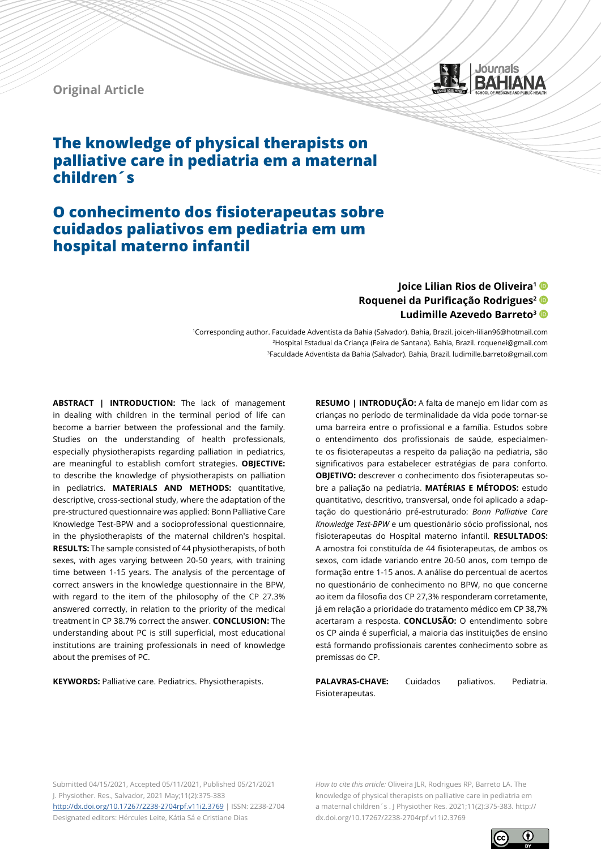



# **O conhecimento dos fisioterapeutas sobre cuidados paliativos em pediatria em um hospital materno infantil**

# **Joice Lilian Rios de Oliveira1 Roquenei da Purificação Rodrigues<sup>2</sup> Ludimille Azevedo Barreto3**

Journals **BAHIANA** 

1Corresponding author. Faculdade Adventista da Bahia (Salvador). Bahia, Brazil. joiceh-lilian96@hotmail.com <sup>2</sup>Hospital Estadual da Criança (Feira de Santana). Bahia, Brazil. roquenei@gmail.com 3Faculdade Adventista da Bahia (Salvador). Bahia, Brazil. ludimille.barreto@gmail.com

**ABSTRACT | INTRODUCTION:** The lack of management in dealing with children in the terminal period of life can become a barrier between the professional and the family. Studies on the understanding of health professionals, especially physiotherapists regarding palliation in pediatrics, are meaningful to establish comfort strategies. **OBJECTIVE:**  to describe the knowledge of physiotherapists on palliation in pediatrics. **MATERIALS AND METHODS:** quantitative, descriptive, cross-sectional study, where the adaptation of the pre-structured questionnaire was applied: Bonn Palliative Care Knowledge Test-BPW and a socioprofessional questionnaire, in the physiotherapists of the maternal children's hospital. **RESULTS:** The sample consisted of 44 physiotherapists, of both sexes, with ages varying between 20-50 years, with training time between 1-15 years. The analysis of the percentage of correct answers in the knowledge questionnaire in the BPW, with regard to the item of the philosophy of the CP 27.3% answered correctly, in relation to the priority of the medical treatment in CP 38.7% correct the answer. **CONCLUSION:** The understanding about PC is still superficial, most educational institutions are training professionals in need of knowledge about the premises of PC.

**KEYWORDS:** Palliative care. Pediatrics. Physiotherapists.

**RESUMO | INTRODUÇÃO:** A falta de manejo em lidar com as crianças no período de terminalidade da vida pode tornar-se uma barreira entre o profissional e a família. Estudos sobre o entendimento dos profissionais de saúde, especialmente os fisioterapeutas a respeito da paliação na pediatria, são significativos para estabelecer estratégias de para conforto. **OBJETIVO:** descrever o conhecimento dos fisioterapeutas sobre a paliação na pediatria. **MATÉRIAS E MÉTODOS:** estudo quantitativo, descritivo, transversal, onde foi aplicado a adaptação do questionário pré-estruturado: *Bonn Palliative Care Knowledge Test-BPW* e um questionário sócio profissional, nos fisioterapeutas do Hospital materno infantil. **RESULTADOS:** A amostra foi constituída de 44 fisioterapeutas, de ambos os sexos, com idade variando entre 20-50 anos, com tempo de formação entre 1-15 anos. A análise do percentual de acertos no questionário de conhecimento no BPW, no que concerne ao item da filosofia dos CP 27,3% responderam corretamente, já em relação a prioridade do tratamento médico em CP 38,7% acertaram a resposta. **CONCLUSÃO:** O entendimento sobre os CP ainda é superficial, a maioria das instituições de ensino está formando profissionais carentes conhecimento sobre as premissas do CP.

**PALAVRAS-CHAVE:** Cuidados paliativos. Pediatria. Fisioterapeutas.

Submitted 04/15/2021, Accepted 05/11/2021, Published 05/21/2021 J. Physiother. Res., Salvador, 2021 May;11(2):375-383 <http://dx.doi.org/10.17267/2238-2704rpf.v11i2.3769> | ISSN: 2238-2704 Designated editors: Hércules Leite, Kátia Sá e Cristiane Dias

*How to cite this article:* Oliveira JLR, Rodrigues RP, Barreto LA. The knowledge of physical therapists on palliative care in pediatria em a maternal children´s . J Physiother Res. 2021;11(2):375-383. http:// dx.doi.org/10.17267/2238-2704rpf.v11i2.3769

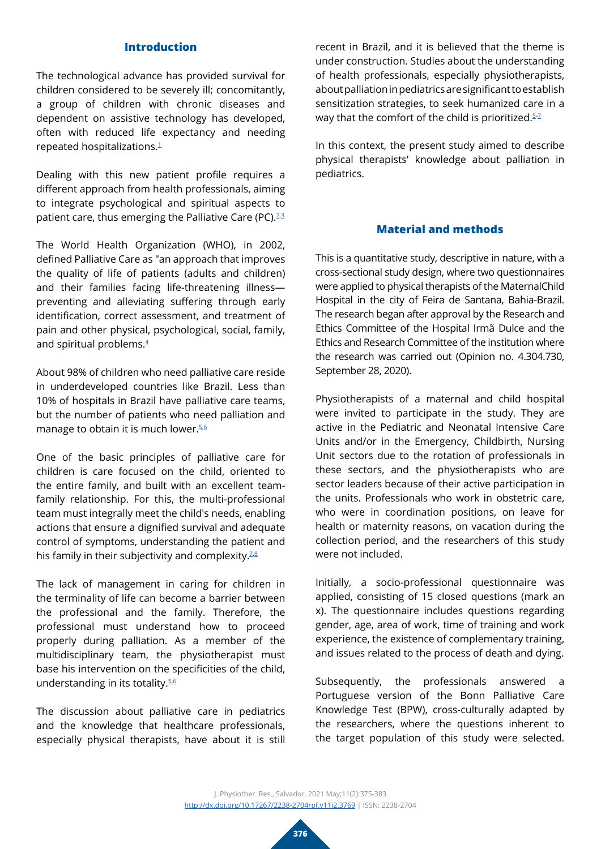### **Introduction**

The technological advance has provided survival for children considered to be severely ill; concomitantly, a group of children with chronic diseases and dependent on assistive technology has developed, often with reduced life expectancy and needing repeated hospitalizations.[1](#page-7-0)

Dealing with this new patient profile requires a different approach from health professionals, aiming to integrate psychological and spiritual aspects to patient care, thus emerging the Palliative Care (PC). $23$  $23$ 

The World Health Organization (WHO), in 2002, defined Palliative Care as "an approach that improves the quality of life of patients (adults and children) and their families facing life-threatening illness preventing and alleviating suffering through early identification, correct assessment, and treatment of pain and other physical, psychological, social, family, and spiritual problems.<sup>4</sup>

About 98% of children who need palliative care reside in underdeveloped countries like Brazil. Less than 10% of hospitals in Brazil have palliative care teams, but the number of patients who need palliation and manage to obtain it is much lower. $56$  $56$ 

One of the basic principles of palliative care for children is care focused on the child, oriented to the entire family, and built with an excellent teamfamily relationship. For this, the multi-professional team must integrally meet the child's needs, enabling actions that ensure a dignified survival and adequate control of symptoms, understanding the patient and his family in their subjectivity and complexity.<sup>7,[8](#page-8-0)</sup>

The lack of management in caring for children in the terminality of life can become a barrier between the professional and the family. Therefore, the professional must understand how to proceed properly during palliation. As a member of the multidisciplinary team, the physiotherapist must base his intervention on the specificities of the child, understanding in its totality.[5](#page-7-4)[,6](#page-7-5) 

The discussion about palliative care in pediatrics and the knowledge that healthcare professionals, especially physical therapists, have about it is still

recent in Brazil, and it is believed that the theme is under construction. Studies about the understanding of health professionals, especially physiotherapists, about palliation in pediatrics are significant to establish sensitization strategies, to seek humanized care in a way that the comfort of the child is prioritized. $5-7$  $5-7$ 

In this context, the present study aimed to describe physical therapists' knowledge about palliation in pediatrics.

## **Material and methods**

This is a quantitative study, descriptive in nature, with a cross-sectional study design, where two questionnaires were applied to physical therapists of the MaternalChild Hospital in the city of Feira de Santana, Bahia-Brazil. The research began after approval by the Research and Ethics Committee of the Hospital Irmã Dulce and the Ethics and Research Committee of the institution where the research was carried out (Opinion no. 4.304.730, September 28, 2020).

Physiotherapists of a maternal and child hospital were invited to participate in the study. They are active in the Pediatric and Neonatal Intensive Care Units and/or in the Emergency, Childbirth, Nursing Unit sectors due to the rotation of professionals in these sectors, and the physiotherapists who are sector leaders because of their active participation in the units. Professionals who work in obstetric care, who were in coordination positions, on leave for health or maternity reasons, on vacation during the collection period, and the researchers of this study were not included.

Initially, a socio-professional questionnaire was applied, consisting of 15 closed questions (mark an x). The questionnaire includes questions regarding gender, age, area of work, time of training and work experience, the existence of complementary training, and issues related to the process of death and dying.

Subsequently, the professionals answered a Portuguese version of the Bonn Palliative Care Knowledge Test (BPW), cross-culturally adapted by the researchers, where the questions inherent to the target population of this study were selected.

J. Physiother. Res., Salvador, 2021 May;11(2):375-383 <http://dx.doi.org/10.17267/2238-2704rpf.v11i2.3769> | ISSN: 2238-2704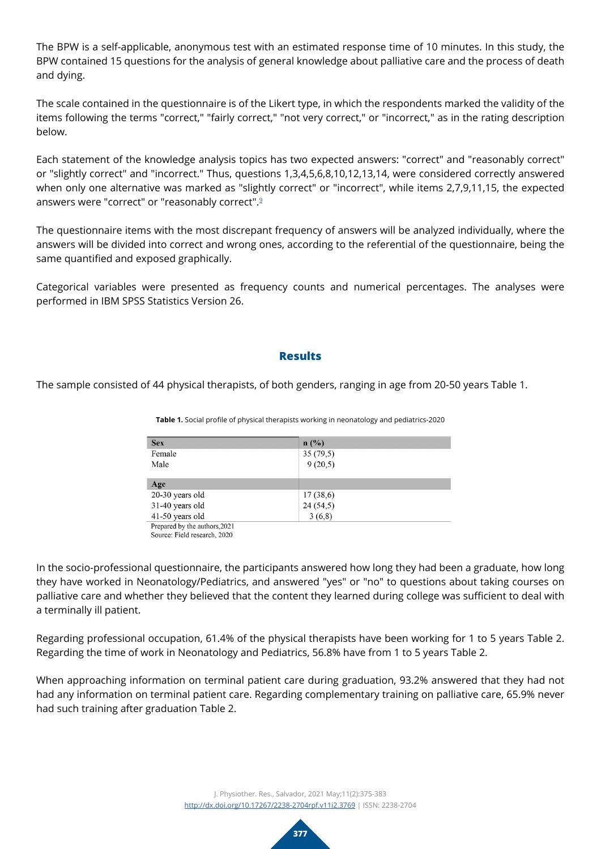The BPW is a self-applicable, anonymous test with an estimated response time of 10 minutes. In this study, the BPW contained 15 questions for the analysis of general knowledge about palliative care and the process of death and dying.

The scale contained in the questionnaire is of the Likert type, in which the respondents marked the validity of the items following the terms "correct," "fairly correct," "not very correct," or "incorrect," as in the rating description below.

Each statement of the knowledge analysis topics has two expected answers: "correct" and "reasonably correct" or "slightly correct" and "incorrect." Thus, questions 1,3,4,5,6,8,10,12,13,14, were considered correctly answered when only one alternative was marked as "slightly correct" or "incorrect", while items 2,7,9,11,15, the expected answers were "correct" or "reasonably correct".[9](#page-8-1)

The questionnaire items with the most discrepant frequency of answers will be analyzed individually, where the answers will be divided into correct and wrong ones, according to the referential of the questionnaire, being the same quantified and exposed graphically.

Categorical variables were presented as frequency counts and numerical percentages. The analyses were performed in IBM SPSS Statistics Version 26.

### **Results**

The sample consisted of 44 physical therapists, of both genders, ranging in age from 20-50 years Table 1.

| <b>Sex</b>                    | n(%)     |
|-------------------------------|----------|
| Female                        | 35(79,5) |
| Male                          | 9(20,5)  |
| Age                           |          |
| $20-30$ years old             | 17(38,6) |
| 31-40 years old               | 24(54,5) |
| 41-50 years old               | 3(6,8)   |
| Prepared by the authors, 2021 |          |

**Table 1.** Social profile of physical therapists working in neonatology and pediatrics-2020

Source: Field research, 2020

In the socio-professional questionnaire, the participants answered how long they had been a graduate, how long they have worked in Neonatology/Pediatrics, and answered "yes" or "no" to questions about taking courses on palliative care and whether they believed that the content they learned during college was sufficient to deal with a terminally ill patient.

Regarding professional occupation, 61.4% of the physical therapists have been working for 1 to 5 years Table 2. Regarding the time of work in Neonatology and Pediatrics, 56.8% have from 1 to 5 years Table 2.

When approaching information on terminal patient care during graduation, 93.2% answered that they had not had any information on terminal patient care. Regarding complementary training on palliative care, 65.9% never had such training after graduation Table 2.

> J. Physiother. Res., Salvador, 2021 May;11(2):375-383 <http://dx.doi.org/10.17267/2238-2704rpf.v11i2.3769> | ISSN: 2238-2704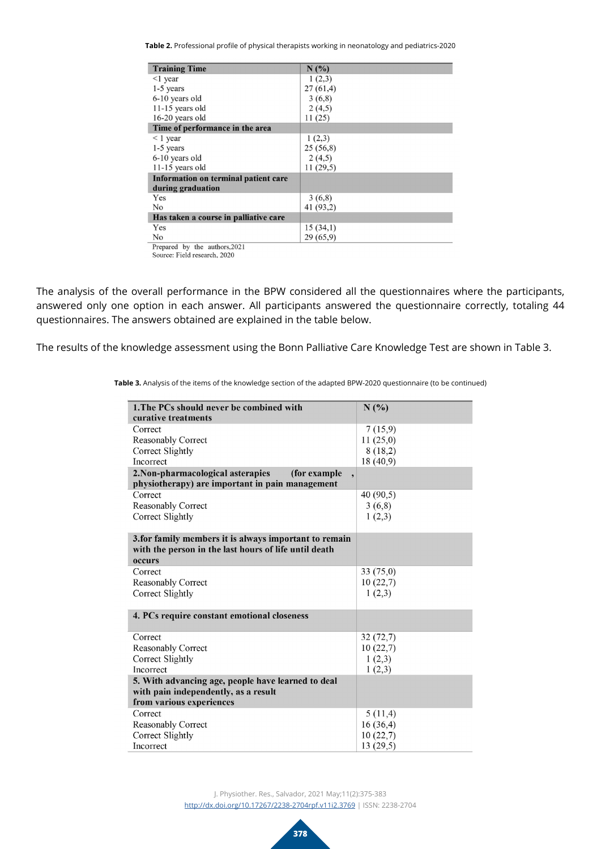**Table 2.** Professional profile of physical therapists working in neonatology and pediatrics-2020

| <b>Training Time</b>                          | N(%)      |
|-----------------------------------------------|-----------|
| $\leq$ 1 year                                 | 1(2,3)    |
| $1-5$ years                                   | 27(61,4)  |
| 6-10 years old                                | 3(6,8)    |
| $11-15$ years old                             | 2(4,5)    |
| 16-20 years old                               | 11(25)    |
| Time of performance in the area               |           |
| $\leq 1$ year                                 | 1(2,3)    |
| $1-5$ years                                   | 25(56,8)  |
| 6-10 years old                                | 2(4,5)    |
| $11-15$ years old                             | 11(29,5)  |
| Information on terminal patient care          |           |
| during graduation                             |           |
| Yes                                           | 3(6,8)    |
| No                                            | 41 (93,2) |
| Has taken a course in palliative care         |           |
| Yes                                           | 15(34,1)  |
| No                                            | 29(65,9)  |
| Deparated $\frac{1}{2}$ is the outhous $2021$ |           |

Prepared by the authors, 2021<br>Source: Field research, 2020

The analysis of the overall performance in the BPW considered all the questionnaires where the participants, answered only one option in each answer. All participants answered the questionnaire correctly, totaling 44 questionnaires. The answers obtained are explained in the table below.

The results of the knowledge assessment using the Bonn Palliative Care Knowledge Test are shown in Table 3.

| 1. The PCs should never be combined with                                   | N(%)      |  |  |
|----------------------------------------------------------------------------|-----------|--|--|
| curative treatments                                                        |           |  |  |
| Correct                                                                    | 7(15,9)   |  |  |
| <b>Reasonably Correct</b>                                                  | 11(25,0)  |  |  |
| Correct Slightly                                                           | 8(18,2)   |  |  |
| Incorrect                                                                  | 18 (40,9) |  |  |
| 2. Non-pharmacological asterapies<br>(for example)<br>$\ddot{\phantom{1}}$ |           |  |  |
| physiotherapy) are important in pain management                            |           |  |  |
| Correct                                                                    | 40(90,5)  |  |  |
| <b>Reasonably Correct</b>                                                  | 3(6,8)    |  |  |
| Correct Slightly                                                           | 1(2,3)    |  |  |
|                                                                            |           |  |  |
| 3. for family members it is always important to remain                     |           |  |  |
| with the person in the last hours of life until death                      |           |  |  |
| occurs                                                                     |           |  |  |
| Correct                                                                    | 33 (75,0) |  |  |
| <b>Reasonably Correct</b>                                                  | 10(22,7)  |  |  |
| Correct Slightly                                                           | 1(2,3)    |  |  |
|                                                                            |           |  |  |
| 4. PCs require constant emotional closeness                                |           |  |  |
|                                                                            |           |  |  |
| Correct                                                                    | 32(72,7)  |  |  |
| <b>Reasonably Correct</b>                                                  | 10(22,7)  |  |  |
| Correct Slightly                                                           | 1(2,3)    |  |  |
| Incorrect                                                                  | 1(2,3)    |  |  |
| 5. With advancing age, people have learned to deal                         |           |  |  |
| with pain independently, as a result                                       |           |  |  |
| from various experiences                                                   |           |  |  |
| Correct                                                                    | 5(11,4)   |  |  |
| <b>Reasonably Correct</b>                                                  | 16(36,4)  |  |  |
| Correct Slightly                                                           | 10(22,7)  |  |  |
| Incorrect                                                                  | 13(29,5)  |  |  |

**Table 3.** Analysis of the items of the knowledge section of the adapted BPW-2020 questionnaire (to be continued)

J. Physiother. Res., Salvador, 2021 May;11(2):375-383 <http://dx.doi.org/10.17267/2238-2704rpf.v11i2.3769> | ISSN: 2238-2704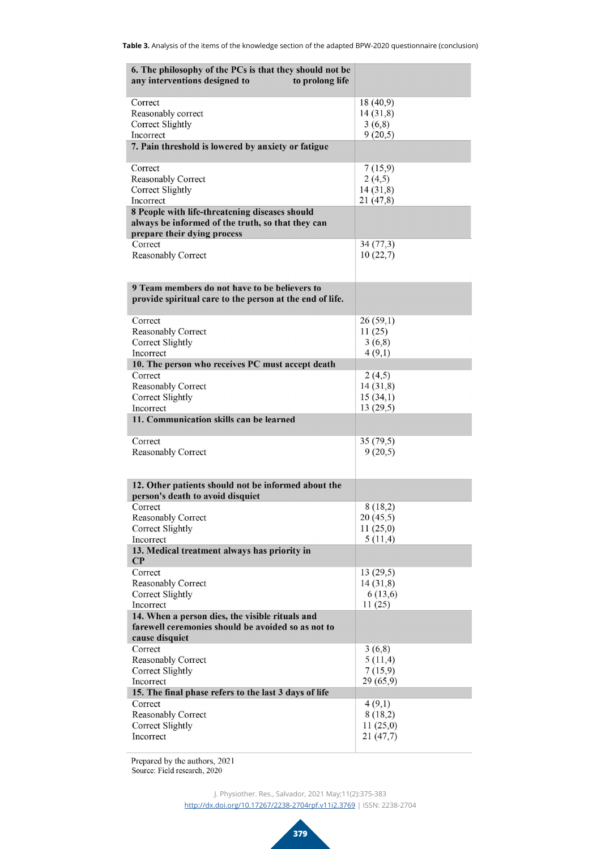| 6. The philosophy of the PCs is that they should not be                                 |                     |  |  |
|-----------------------------------------------------------------------------------------|---------------------|--|--|
| any interventions designed to<br>to prolong life                                        |                     |  |  |
| Correct                                                                                 | 18(40,9)            |  |  |
| Reasonably correct                                                                      | 14(31,8)            |  |  |
| Correct Slightly<br>Incorrect                                                           | 3(6,8)<br>9(20,5)   |  |  |
| 7. Pain threshold is lowered by anxiety or fatigue                                      |                     |  |  |
| Correct                                                                                 | 7(15,9)             |  |  |
| Reasonably Correct<br>Correct Slightly                                                  | 2(4,5)<br>14(31,8)  |  |  |
| Incorrect                                                                               | 21 (47,8)           |  |  |
| 8 People with life-threatening diseases should                                          |                     |  |  |
| always be informed of the truth, so that they can<br>prepare their dying process        |                     |  |  |
| Correct                                                                                 | 34(77,3)            |  |  |
| Reasonably Correct                                                                      | 10(22,7)            |  |  |
|                                                                                         |                     |  |  |
| 9 Team members do not have to be believers to                                           |                     |  |  |
| provide spiritual care to the person at the end of life.                                |                     |  |  |
| Correct                                                                                 | 26(59,1)            |  |  |
| Reasonably Correct                                                                      | 11(25)              |  |  |
| Correct Slightly<br>Incorrect                                                           | 3(6,8)<br>4(9,1)    |  |  |
| 10. The person who receives PC must accept death                                        |                     |  |  |
| Correct                                                                                 | 2(4,5)              |  |  |
| Reasonably Correct                                                                      | 14(31,8)            |  |  |
| Correct Slightly                                                                        | 15(34,1)            |  |  |
| Incorrect<br>11. Communication skills can be learned                                    | 13(29,5)            |  |  |
|                                                                                         |                     |  |  |
| Correct                                                                                 | 35(79,5)            |  |  |
| <b>Reasonably Correct</b>                                                               | 9(20,5)             |  |  |
|                                                                                         |                     |  |  |
| 12. Other patients should not be informed about the<br>person's death to avoid disquiet |                     |  |  |
| Correct                                                                                 | 8 (18,2)            |  |  |
| Reasonably Correct                                                                      | 20(45,5)            |  |  |
| Correct Slightly<br>Incorrect                                                           | 11(25,0)<br>5(11,4) |  |  |
| 13. Medical treatment always has priority in                                            |                     |  |  |
| $\bf CP$                                                                                |                     |  |  |
| Correct                                                                                 | 13(29,5)            |  |  |
| Reasonably Correct                                                                      | 14(31,8)<br>6(13,6) |  |  |
| <b>Correct Slightly</b><br>Incorrect                                                    | 11(25)              |  |  |
| 14. When a person dies, the visible rituals and                                         |                     |  |  |
| farewell ceremonies should be avoided so as not to                                      |                     |  |  |
| cause disquiet<br>Correct                                                               | 3(6,8)              |  |  |
| Reasonably Correct                                                                      | 5(11,4)             |  |  |
| Correct Slightly                                                                        | 7(15,9)             |  |  |
| Incorrect                                                                               | 29(65,9)            |  |  |
| 15. The final phase refers to the last 3 days of life                                   |                     |  |  |
| Correct<br>Reasonably Correct                                                           | 4(9,1)<br>8(18,2)   |  |  |
| Correct Slightly                                                                        | 11(25,0)            |  |  |
| Incorrect                                                                               | 21 (47,7)           |  |  |

Prepared by the authors, 2021<br>Source: Field research, 2020

J. Physiother. Res., Salvador, 2021 May;11(2):375-383 <http://dx.doi.org/10.17267/2238-2704rpf.v11i2.3769> | ISSN: 2238-2704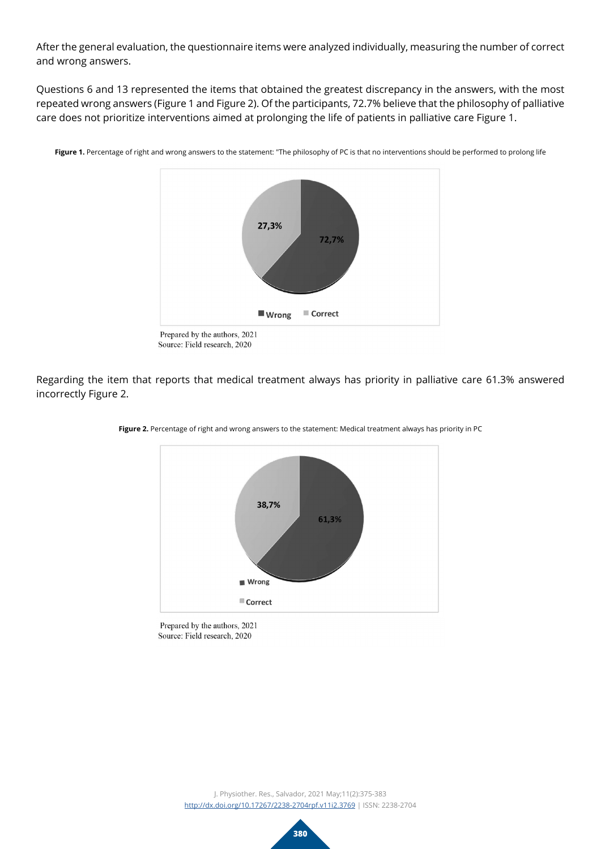After the general evaluation, the questionnaire items were analyzed individually, measuring the number of correct and wrong answers.

Questions 6 and 13 represented the items that obtained the greatest discrepancy in the answers, with the most repeated wrong answers (Figure 1 and Figure 2). Of the participants, 72.7% believe that the philosophy of palliative care does not prioritize interventions aimed at prolonging the life of patients in palliative care Figure 1.



Figure 1. Percentage of right and wrong answers to the statement: "The philosophy of PC is that no interventions should be performed to prolong life

Regarding the item that reports that medical treatment always has priority in palliative care 61.3% answered incorrectly Figure 2.



**Figure 2.** Percentage of right and wrong answers to the statement: Medical treatment always has priority in PC

Prepared by the authors, 2021 Source: Field research, 2020

Source: Field research, 2020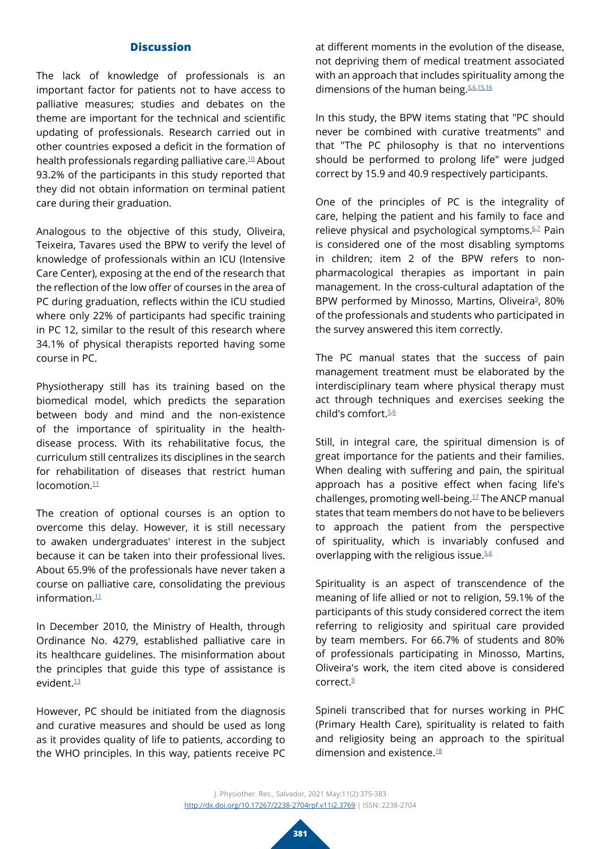# **Discussion**

The lack of knowledge of professionals is an important factor for patients not to have access to palliative measures; studies and debates on the theme are important for the technical and scientific updating of professionals. Research carried out in other countries exposed a deficit in the formation of health professionals regarding palliative care.[10](#page-8-2) About 93.2% of the participants in this study reported that they did not obtain information on terminal patient care during their graduation.

Analogous to the objective of this study, Oliveira, Teixeira, Tavares used the BPW to verify the level of knowledge of professionals within an ICU (Intensive Care Center), exposing at the end of the research that the reflection of the low offer of courses in the area of PC during graduation, reflects within the ICU studied where only 22% of participants had specific training in PC 12, similar to the result of this research where 34.1% of physical therapists reported having some course in PC.

Physiotherapy still has its training based on the biomedical model, which predicts the separation between body and mind and the non-existence of the importance of spirituality in the healthdisease process. With its rehabilitative focus, the curriculum still centralizes its disciplines in the search for rehabilitation of diseases that restrict human locomotion<sup>[11](#page-8-3)</sup>

The creation of optional courses is an option to overcome this delay. However, it is still necessary to awaken undergraduates' interest in the subject because it can be taken into their professional lives. About 65.9% of the professionals have never taken a course on palliative care, consolidating the previous information. $11$ 

In December 2010, the Ministry of Health, through Ordinance No. 4279, established palliative care in its healthcare guidelines. The misinformation about the principles that guide this type of assistance is evident<sup>13</sup>

However, PC should be initiated from the diagnosis and curative measures and should be used as long as it provides quality of life to patients, according to the WHO principles. In this way, patients receive PC

at different moments in the evolution of the disease, not depriving them of medical treatment associated with an approach that includes spirituality among the dimensions of the human being. [5](#page-7-4)[,6,](#page-7-5)[15,](#page-8-5)[16](#page-8-6)

In this study, the BPW items stating that "PC should never be combined with curative treatments" and that "The PC philosophy is that no interventions should be performed to prolong life" were judged correct by 15.9 and 40.9 respectively participants.

One of the principles of PC is the integrality of care, helping the patient and his family to face and relieve physical and psychological symptoms.<sup>6,2</sup> Pain is considered one of the most disabling symptoms in children; item 2 of the BPW refers to nonpharmacological therapies as important in pain management. In the cross-cultural adaptation of the BPW performed by Minosso, Martins, Oliveira<sup>9</sup>, 80% of the professionals and students who participated in the survey answered this item correctly.

The PC manual states that the success of pain management treatment must be elaborated by the interdisciplinary team where physical therapy must act through techniques and exercises seeking the child's comfort.<sup>5,[6](#page-7-5)</sup>

Still, in integral care, the spiritual dimension is of great importance for the patients and their families. When dealing with suffering and pain, the spiritual approach has a positive effect when facing life's challenges, promoting well-being. $17$  The ANCP manual states that team members do not have to be believers to approach the patient from the perspective of spirituality, which is invariably confused and overlapping with the religious issue.<sup>[5](#page-7-4)[,6](#page-7-5)</sup>

Spirituality is an aspect of transcendence of the meaning of life allied or not to religion, 59.1% of the participants of this study considered correct the item referring to religiosity and spiritual care provided by team members. For 66.7% of students and 80% of professionals participating in Minosso, Martins, Oliveira's work, the item cited above is considered correct[.9](#page-8-1)

Spineli transcribed that for nurses working in PHC (Primary Health Care), spirituality is related to faith and religiosity being an approach to the spiritual dimension and existence[.18](#page-8-8)

J. Physiother. Res., Salvador, 2021 May;11(2):375-383 <http://dx.doi.org/10.17267/2238-2704rpf.v11i2.3769> | ISSN: 2238-2704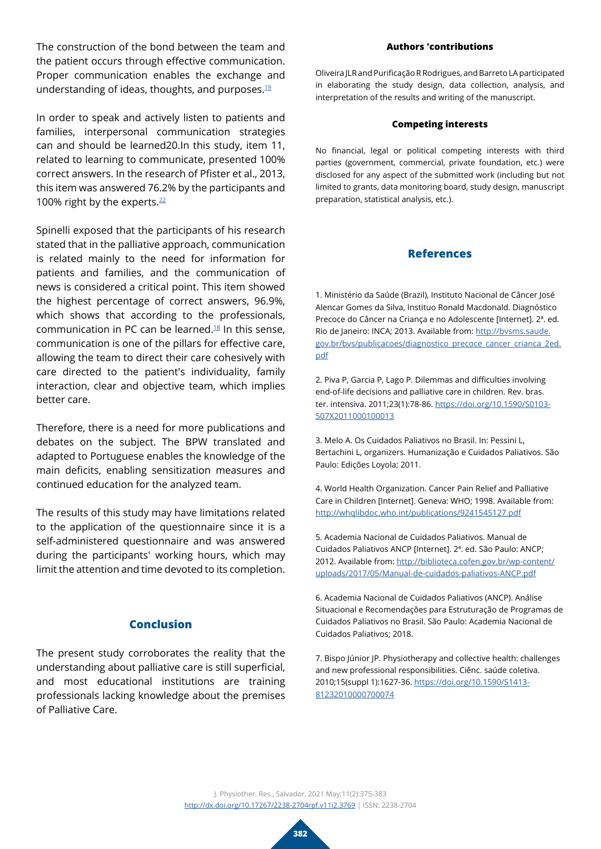The construction of the bond between the team and the patient occurs through effective communication. Proper communication enables the exchange and understanding of ideas, thoughts, and purposes[.19](#page-8-9)

In order to speak and actively listen to patients and families, interpersonal communication strategies can and should be learned20.In this study, item 11, related to learning to communicate, presented 100% correct answers. In the research of Pfister et al., 2013, this item was answered 76.2% by the participants and 100% right by the experts.<sup>[22](#page-8-10)</sup>

Spinelli exposed that the participants of his research stated that in the palliative approach, communication is related mainly to the need for information for patients and families, and the communication of news is considered a critical point. This item showed the highest percentage of correct answers, 96.9%, which shows that according to the professionals, communication in PC can be learned.[18](#page-8-8) In this sense, communication is one of the pillars for effective care, allowing the team to direct their care cohesively with care directed to the patient's individuality, family interaction, clear and objective team, which implies better care.

Therefore, there is a need for more publications and debates on the subject. The BPW translated and adapted to Portuguese enables the knowledge of the main deficits, enabling sensitization measures and continued education for the analyzed team.

The results of this study may have limitations related to the application of the questionnaire since it is a self-administered questionnaire and was answered during the participants' working hours, which may limit the attention and time devoted to its completion.

# **Conclusion**

The present study corroborates the reality that the understanding about palliative care is still superficial, and most educational institutions are training professionals lacking knowledge about the premises of Palliative Care.

#### **Authors 'contributions**

Oliveira JLR and Purificação R Rodrigues, and Barreto LA participated in elaborating the study design, data collection, analysis, and interpretation of the results and writing of the manuscript.

#### **Competing interests**

No financial, legal or political competing interests with third parties (government, commercial, private foundation, etc.) were disclosed for any aspect of the submitted work (including but not limited to grants, data monitoring board, study design, manuscript preparation, statistical analysis, etc.).

#### **References**

<span id="page-7-0"></span>1. Ministério da Saúde (Brazil), Instituto Nacional de Câncer José Alencar Gomes da Silva, Instituo Ronald Macdonald. Diagnóstico Precoce do Câncer na Criança e no Adolescente [Internet]. 2ª. ed. Rio de Janeiro: INCA; 2013. Available from: [http://bvsms.saude.](http://bvsms.saude.gov.br/bvs/publicacoes/diagnostico_precoce_cancer_crianca_2ed.pdf) [gov.br/bvs/publicacoes/diagnostico\\_precoce\\_cancer\\_crianca\\_2ed.](http://bvsms.saude.gov.br/bvs/publicacoes/diagnostico_precoce_cancer_crianca_2ed.pdf) [pdf](http://bvsms.saude.gov.br/bvs/publicacoes/diagnostico_precoce_cancer_crianca_2ed.pdf)

<span id="page-7-1"></span>2. Piva P, Garcia P, Lago P. Dilemmas and difficulties involving end-of-life decisions and palliative care in children. Rev. bras. ter. intensiva. 2011;23(1):78-86. [https://doi.org/10.1590/S0103-](https://doi.org/10.1590/S0103-507X2011000100013) [507X2011000100013](https://doi.org/10.1590/S0103-507X2011000100013)

<span id="page-7-2"></span>3. Melo A. Os Cuidados Paliativos no Brasil. In: Pessini L, Bertachini L, organizers. Humanização e Cuidados Paliativos. São Paulo: Edições Loyola; 2011.

<span id="page-7-3"></span>4. World Health Organization. Cancer Pain Relief and Palliative Care in Children [Internet]. Geneva: WHO; 1998. Available from: <http://whqlibdoc.who.int/publications/9241545127.pdf>

<span id="page-7-4"></span>5. Academia Nacional de Cuidados Paliativos. Manual de Cuidados Paliativos ANCP [Internet]. 2ª. ed. São Paulo: ANCP; 2012. Available from: [http://biblioteca.cofen.gov.br/wp-content/](http://biblioteca.cofen.gov.br/wp-content/uploads/2017/05/Manual-de-cuidados-paliativos-ANCP.pdf) [uploads/2017/05/Manual-de-cuidados-paliativos-ANCP.pdf](http://biblioteca.cofen.gov.br/wp-content/uploads/2017/05/Manual-de-cuidados-paliativos-ANCP.pdf)

<span id="page-7-5"></span>6. Academia Nacional de Cuidados Paliativos (ANCP). Análise Situacional e Recomendações para Estruturação de Programas de Cuidados Paliativos no Brasil. São Paulo: Academia Nacional de Cuidados Paliativos; 2018.

<span id="page-7-6"></span>7. Bispo Júnior JP. Physiotherapy and collective health: challenges and new professional responsibilities. Ciênc. saúde coletiva. 2010;15(suppl 1):1627-36. [https://doi.org/10.1590/S1413-](https://doi.org/10.1590/S1413-81232010000700074) [81232010000700074](https://doi.org/10.1590/S1413-81232010000700074)

J. Physiother. Res., Salvador, 2021 May;11(2):375-383 <http://dx.doi.org/10.17267/2238-2704rpf.v11i2.3769> | ISSN: 2238-2704